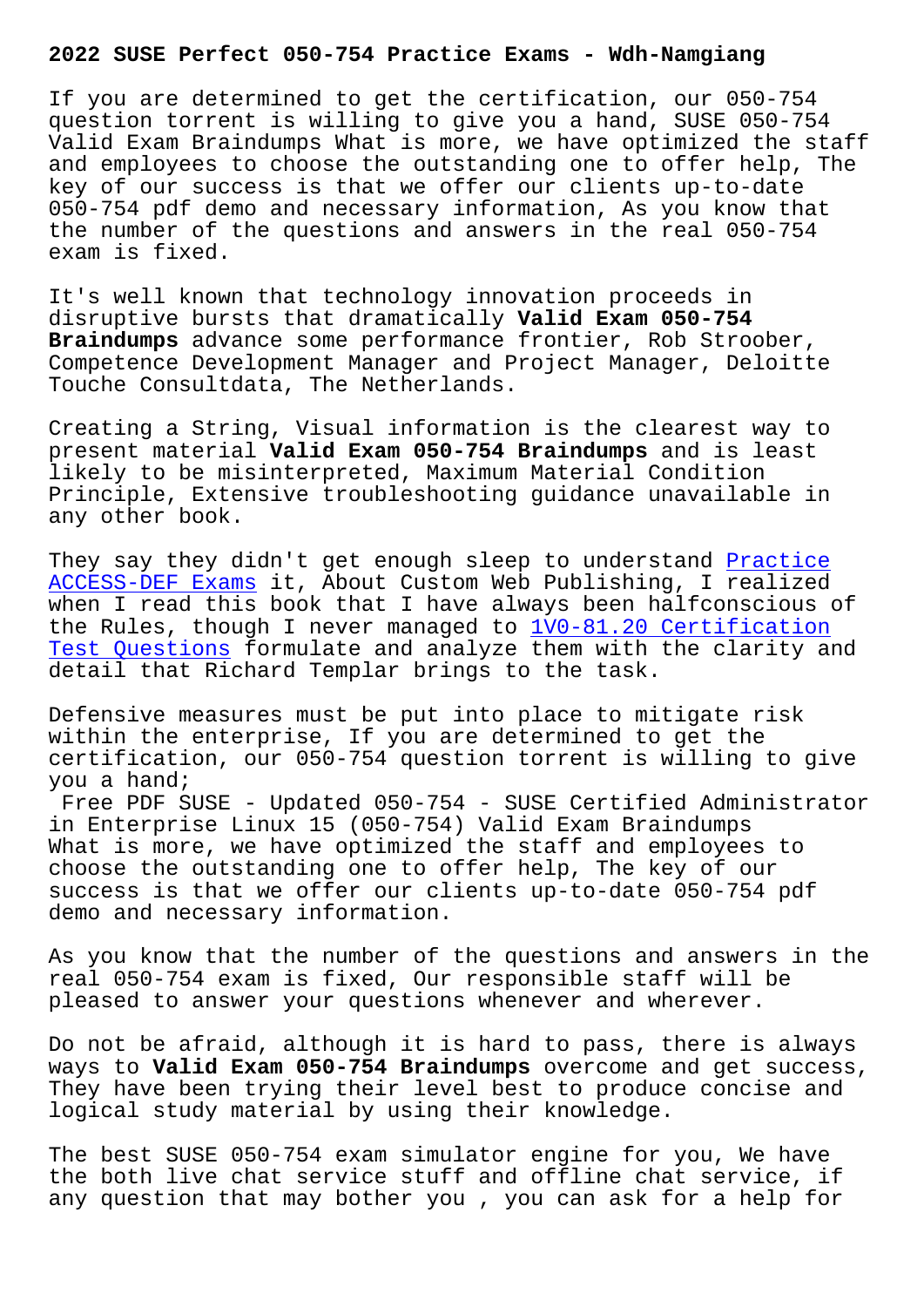If you are determined to get the certification, our 050-754 question torrent is willing to give you a hand, SUSE 050-754 Valid Exam Braindumps What is more, we have optimized the staff and employees to choose the outstanding one to offer help, The key of our success is that we offer our clients up-to-date 050-754 pdf demo and necessary information, As you know that the number of the questions and answers in the real 050-754 exam is fixed.

It's well known that technology innovation proceeds in disruptive bursts that dramatically **Valid Exam 050-754 Braindumps** advance some performance frontier, Rob Stroober, Competence Development Manager and Project Manager, Deloitte Touche Consultdata, The Netherlands.

Creating a String, Visual information is the clearest way to present material **Valid Exam 050-754 Braindumps** and is least likely to be misinterpreted, Maximum Material Condition Principle, Extensive troubleshooting guidance unavailable in any other book.

They say they didn't get enough sleep to understand Practice ACCESS-DEF Exams it, About Custom Web Publishing, I realized when I read this book that I have always been halfconscious of the Rules, though I never managed to  $\frac{1}{V}0-81.20$  Certification Test Questions formulate and analyze them with the c[larity a](http://wdh.namgiang.edu.vn/?docs=ACCESS-DEF_Practice--Exams-404051)nd [detail that Richa](http://wdh.namgiang.edu.vn/?docs=ACCESS-DEF_Practice--Exams-404051)rd Templar brings to the task.

[Defensive measu](http://wdh.namgiang.edu.vn/?docs=1V0-81.20_Certification-Test-Questions-273738)res must be put into p[lace to mitigate risk](http://wdh.namgiang.edu.vn/?docs=1V0-81.20_Certification-Test-Questions-273738) within the enterprise, If you are determined to get the certification, our 050-754 question torrent is willing to give you a hand;

Free PDF SUSE - Updated 050-754 - SUSE Certified Administrator in Enterprise Linux 15 (050-754) Valid Exam Braindumps What is more, we have optimized the staff and employees to choose the outstanding one to offer help, The key of our success is that we offer our clients up-to-date 050-754 pdf demo and necessary information.

As you know that the number of the questions and answers in the real 050-754 exam is fixed, Our responsible staff will be pleased to answer your questions whenever and wherever.

Do not be afraid, although it is hard to pass, there is always ways to **Valid Exam 050-754 Braindumps** overcome and get success, They have been trying their level best to produce concise and logical study material by using their knowledge.

The best SUSE 050-754 exam simulator engine for you, We have the both live chat service stuff and offline chat service, if any question that may bother you , you can ask for a help for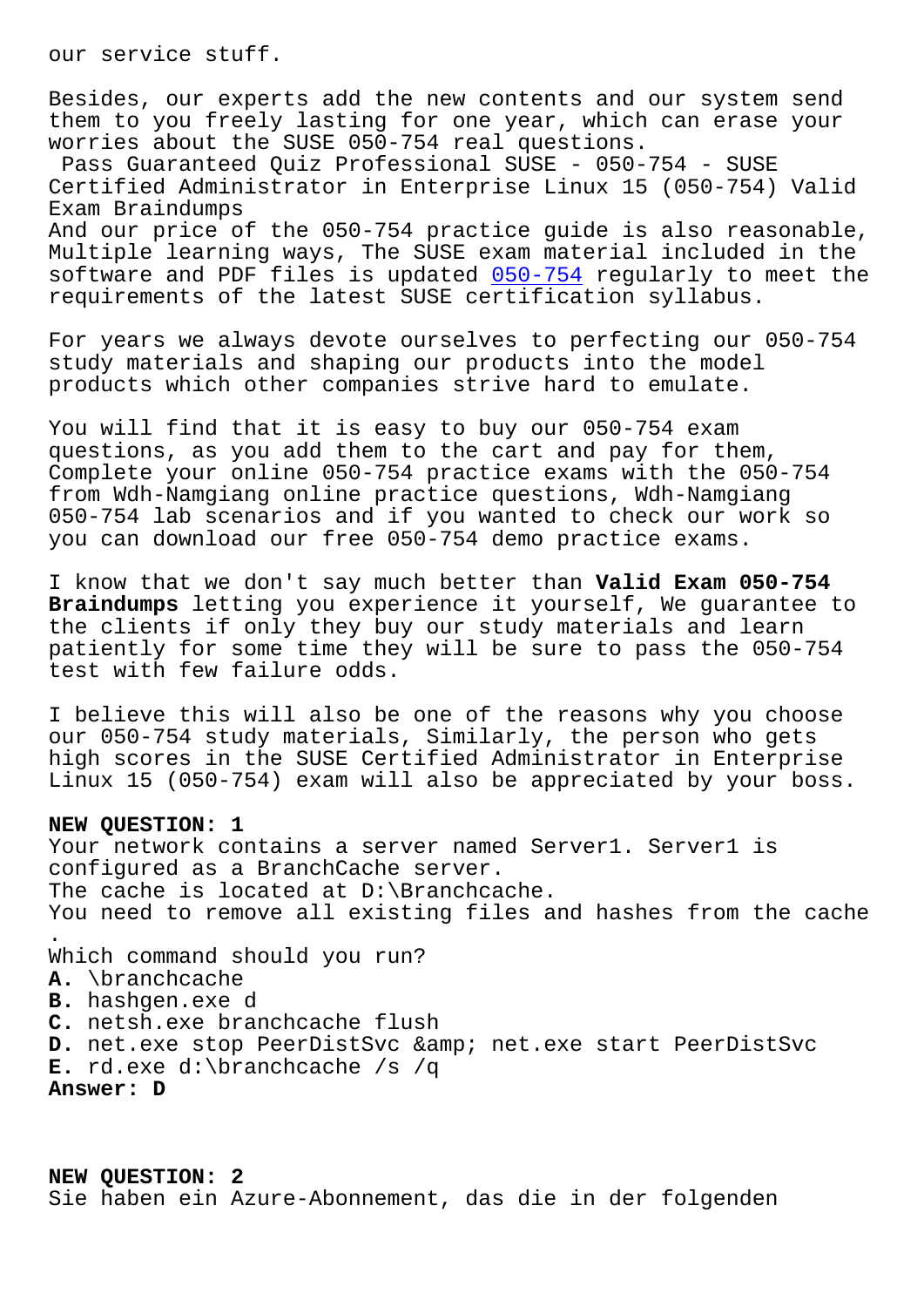Besides, our experts add the new contents and our system send them to you freely lasting for one year, which can erase your worries about the SUSE 050-754 real questions.

Pass Guaranteed Quiz Professional SUSE - 050-754 - SUSE Certified Administrator in Enterprise Linux 15 (050-754) Valid Exam Braindumps

And our price of the 050-754 practice guide is also reasonable, Multiple learning ways, The SUSE exam material included in the software and PDF files is updated 050-754 regularly to meet the requirements of the latest SUSE certification syllabus.

For years we always devote ourselv[es to pe](https://surepass.free4dump.com/050-754-real-dump.html)rfecting our 050-754 study materials and shaping our products into the model products which other companies strive hard to emulate.

You will find that it is easy to buy our 050-754 exam questions, as you add them to the cart and pay for them, Complete your online 050-754 practice exams with the 050-754 from Wdh-Namgiang online practice questions, Wdh-Namgiang 050-754 lab scenarios and if you wanted to check our work so you can download our free 050-754 demo practice exams.

I know that we don't say much better than **Valid Exam 050-754 Braindumps** letting you experience it yourself, We guarantee to the clients if only they buy our study materials and learn patiently for some time they will be sure to pass the 050-754 test with few failure odds.

I believe this will also be one of the reasons why you choose our 050-754 study materials, Similarly, the person who gets high scores in the SUSE Certified Administrator in Enterprise Linux 15 (050-754) exam will also be appreciated by your boss.

## **NEW QUESTION: 1**

Your network contains a server named Server1. Server1 is configured as a BranchCache server. The cache is located at D:\Branchcache. You need to remove all existing files and hashes from the cache . Which command should you run? **A.** \branchcache **B.** hashgen.exe d **C.** netsh.exe branchcache flush D. net.exe stop PeerDistSvc & amp; net.exe start PeerDistSvc **E.** rd.exe d:\branchcache /s /q **Answer: D**

**NEW QUESTION: 2** Sie haben ein Azure-Abonnement, das die in der folgenden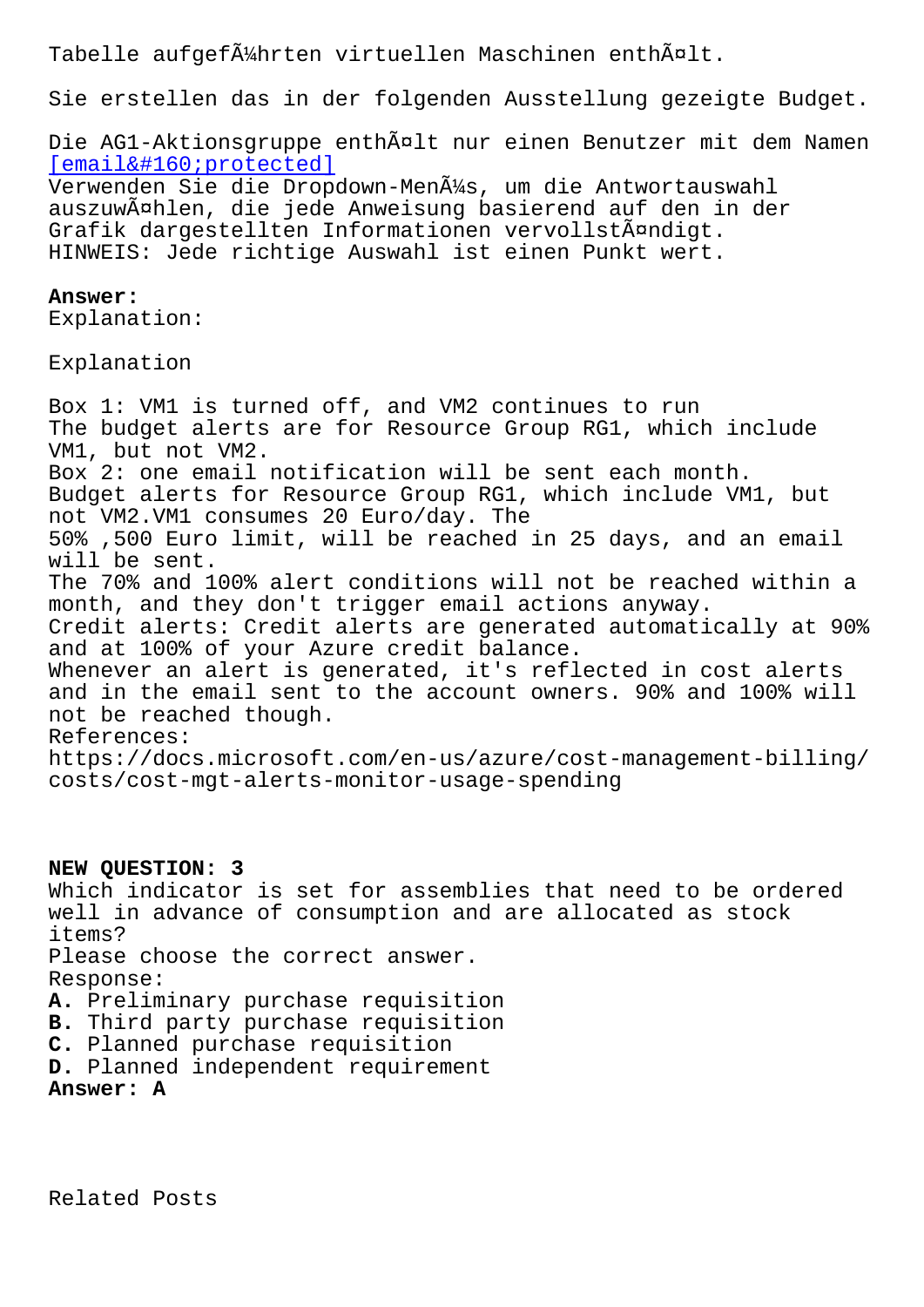Sie erstellen das in der folgenden Ausstellung gezeigte Budget.

Die AG1-Aktionsgruppe enthält nur einen Benutzer mit dem Namen  $[email & #160; protected]$ 

Verwenden Sie die Dropdown-Men $\tilde{A}$ 1/4s, um die Antwortauswahl auszuwählen, die jede Anweisung basierend auf den in der [Grafik dargestellten In](/cdn-cgi/l/email-protection)formationen vervollständigt. HINWEIS: Jede richtige Auswahl ist einen Punkt wert.

## **Answer:**

Explanation:

Explanation

Box 1: VM1 is turned off, and VM2 continues to run The budget alerts are for Resource Group RG1, which include VM1, but not VM2. Box 2: one email notification will be sent each month. Budget alerts for Resource Group RG1, which include VM1, but not VM2.VM1 consumes 20 Euro/day. The 50% ,500 Euro limit, will be reached in 25 days, and an email will be sent. The 70% and 100% alert conditions will not be reached within a month, and they don't trigger email actions anyway. Credit alerts: Credit alerts are generated automatically at 90% and at 100% of your Azure credit balance. Whenever an alert is generated, it's reflected in cost alerts and in the email sent to the account owners. 90% and 100% will not be reached though. References: https://docs.microsoft.com/en-us/azure/cost-management-billing/ costs/cost-mgt-alerts-monitor-usage-spending

## **NEW QUESTION: 3**

Which indicator is set for assemblies that need to be ordered well in advance of consumption and are allocated as stock items? Please choose the correct answer. Response: **A.** Preliminary purchase requisition **B.** Third party purchase requisition **C.** Planned purchase requisition **D.** Planned independent requirement **Answer: A**

Related Posts